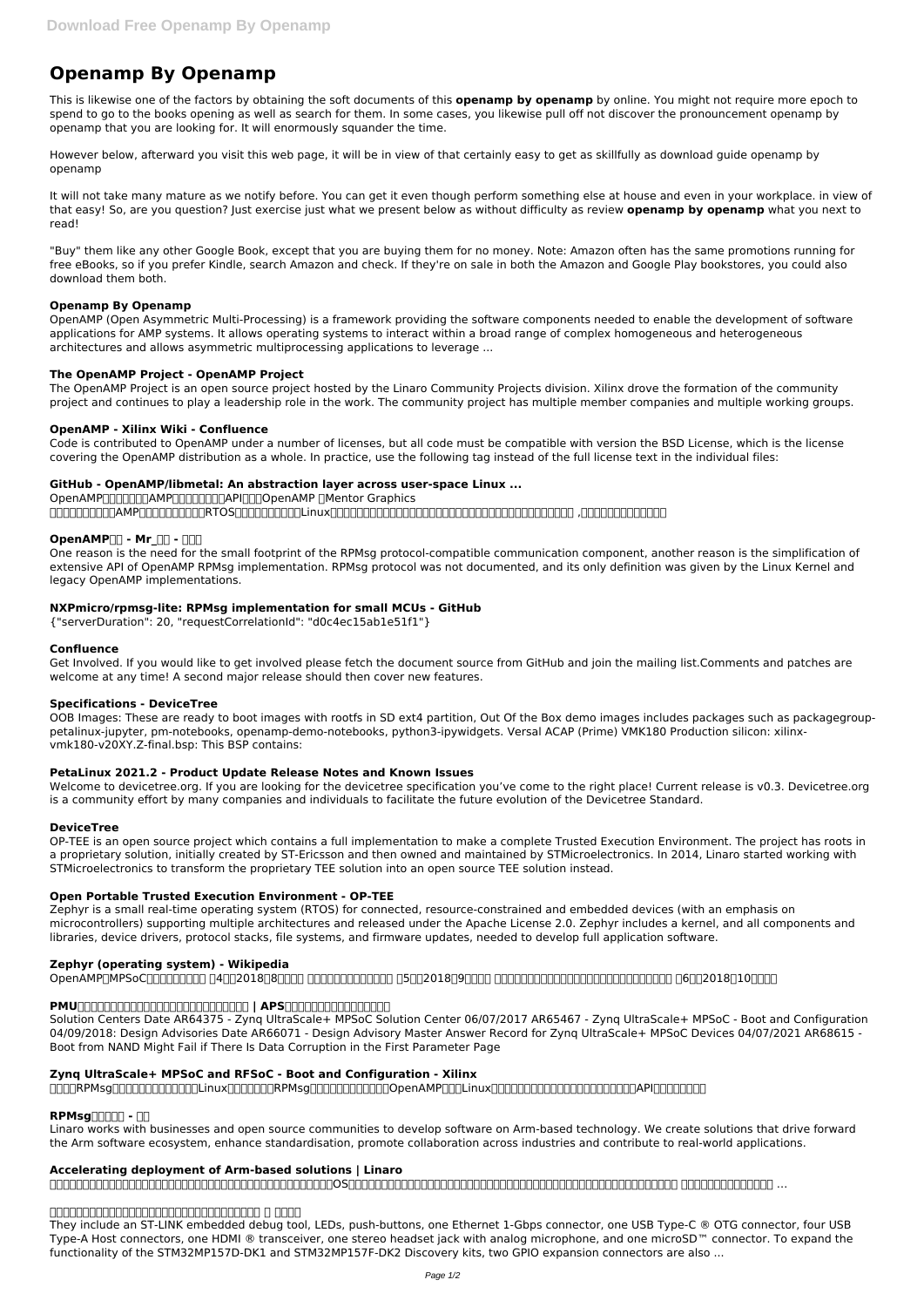# **Openamp By Openamp**

This is likewise one of the factors by obtaining the soft documents of this **openamp by openamp** by online. You might not require more epoch to spend to go to the books opening as well as search for them. In some cases, you likewise pull off not discover the pronouncement openamp by openamp that you are looking for. It will enormously squander the time.

However below, afterward you visit this web page, it will be in view of that certainly easy to get as skillfully as download guide openamp by openamp

It will not take many mature as we notify before. You can get it even though perform something else at house and even in your workplace. in view of that easy! So, are you question? Just exercise just what we present below as without difficulty as review **openamp by openamp** what you next to read!

"Buy" them like any other Google Book, except that you are buying them for no money. Note: Amazon often has the same promotions running for free eBooks, so if you prefer Kindle, search Amazon and check. If they're on sale in both the Amazon and Google Play bookstores, you could also download them both.

### **Openamp By Openamp**

OpenAMPDDDDDDAMPDDDDDDDDAPIDDDOpenAMP DMentor Graphics 与赛灵思公司为了使在AMP系统的设计中开发出的RTOS和裸机程序能够与开源Linux社区提供的接口进行互通讯,而共同通过的一个标准化的嵌入式多核框架。的全称是 ,即开源的非对称多处理框架。

# **OpenAMP<sub>III</sub> - Mr**  $\Pi$  -  $\Pi$

OpenAMP (Open Asymmetric Multi-Processing) is a framework providing the software components needed to enable the development of software applications for AMP systems. It allows operating systems to interact within a broad range of complex homogeneous and heterogeneous architectures and allows asymmetric multiprocessing applications to leverage ...

### **The OpenAMP Project - OpenAMP Project**

The OpenAMP Project is an open source project hosted by the Linaro Community Projects division. Xilinx drove the formation of the community project and continues to play a leadership role in the work. The community project has multiple member companies and multiple working groups.

### **OpenAMP - Xilinx Wiki - Confluence**

Welcome to devicetree.org. If you are looking for the devicetree specification you've come to the right place! Current release is v0.3. Devicetree.org is a community effort by many companies and individuals to facilitate the future evolution of the Devicetree Standard.

Code is contributed to OpenAMP under a number of licenses, but all code must be compatible with version the BSD License, which is the license covering the OpenAMP distribution as a whole. In practice, use the following tag instead of the full license text in the individual files:

### **GitHub - OpenAMP/libmetal: An abstraction layer across user-space Linux ...**

One reason is the need for the small footprint of the RPMsg protocol-compatible communication component, another reason is the simplification of extensive API of OpenAMP RPMsg implementation. RPMsg protocol was not documented, and its only definition was given by the Linux Kernel and legacy OpenAMP implementations.

# **NXPmicro/rpmsg-lite: RPMsg implementation for small MCUs - GitHub**

{"serverDuration": 20, "requestCorrelationId": "d0c4ec15ab1e51f1"}

# **Confluence**

Get Involved. If you would like to get involved please fetch the document source from GitHub and join the mailing list.Comments and patches are welcome at any time! A second major release should then cover new features.

# **Specifications - DeviceTree**

OOB Images: These are ready to boot images with rootfs in SD ext4 partition, Out Of the Box demo images includes packages such as packagegrouppetalinux-jupyter, pm-notebooks, openamp-demo-notebooks, python3-ipywidgets. Versal ACAP (Prime) VMK180 Production silicon: xilinxvmk180-v20XY.Z-final.bsp: This BSP contains:

# **PetaLinux 2021.2 - Product Update Release Notes and Known Issues**

#### **DeviceTree**

OP-TEE is an open source project which contains a full implementation to make a complete Trusted Execution Environment. The project has roots in a proprietary solution, initially created by ST-Ericsson and then owned and maintained by STMicroelectronics. In 2014, Linaro started working with STMicroelectronics to transform the proprietary TEE solution into an open source TEE solution instead.

# **Open Portable Trusted Execution Environment - OP-TEE**

Zephyr is a small real-time operating system (RTOS) for connected, resource-constrained and embedded devices (with an emphasis on microcontrollers) supporting multiple architectures and released under the Apache License 2.0. Zephyr includes a kernel, and all components and libraries, device drivers, protocol stacks, file systems, and firmware updates, needed to develop full application software.

# **Zephyr (operating system) - Wikipedia**

OpenAMPをMPSoCで動かしてみよう! 第4回(2018年8月公開) コア間通信を使いこなそう! 第5回(2018年9月公開) ペリフェラルの割り込みを静的にコアに割り付けてみよう! 第6回(2018年10月公開)

## **PMUを使いこなして、より安全なシステム設計にチャレンジ! | APS|半導体技術コンテンツ・メディア**

Solution Centers Date AR64375 - Zynq UltraScale+ MPSoC Solution Center 06/07/2017 AR65467 - Zynq UltraScale+ MPSoC - Boot and Configuration 04/09/2018: Design Advisories Date AR66071 - Design Advisory Master Answer Record for Zynq UltraScale+ MPSoC Devices 04/07/2021 AR68615 - Boot from NAND Might Fail if There Is Data Corruption in the First Parameter Page

#### **Zynq UltraScale+ MPSoC and RFSoC - Boot and Configuration - Xilinx**

0000RPMsg0000000000000Linux0000000RPMsg00000000000000000Linux00000000000000000000000API0000000

# **RPMsgnnnn - NN**

Linaro works with businesses and open source communities to develop software on Arm-based technology. We create solutions that drive forward the Arm software ecosystem, enhance standardisation, promote collaboration across industries and contribute to real-world applications.

### **Accelerating deployment of Arm-based solutions | Linaro**

 $\begin{split} \textit{Cov}(\textit{Cov}(\textit{Cov}(\textit{Cov}(\textit{Cov}(\textit{Cov}(\textit{Cov}(\textit{Cov}(\textit{Cov}(\textit{Cov}(\textit{Cov}(\textit{Cov}(\textit{Cov}(\textit{Cov}(\textit{Cov}(\textit{Cov}(\textit{Cov}(\textit{Cov}(\textit{Cov}(\textit{Cov}(\textit{Cov}(\textit{Cov}(\textit{Cov}(\textit{Cov}(\textit{Cov}(\textit{Cov}(\textit{Cov}(\textit{Cov}(\textit{Cov}(\textit{Cov}(\textit{C$ 

### **• secondore description de description de description de description de description de description de description**

They include an ST-LINK embedded debug tool, LEDs, push-buttons, one Ethernet 1-Gbps connector, one USB Type-C ® OTG connector, four USB Type-A Host connectors, one HDMI ® transceiver, one stereo headset jack with analog microphone, and one microSD™ connector. To expand the functionality of the STM32MP157D-DK1 and STM32MP157F-DK2 Discovery kits, two GPIO expansion connectors are also ...